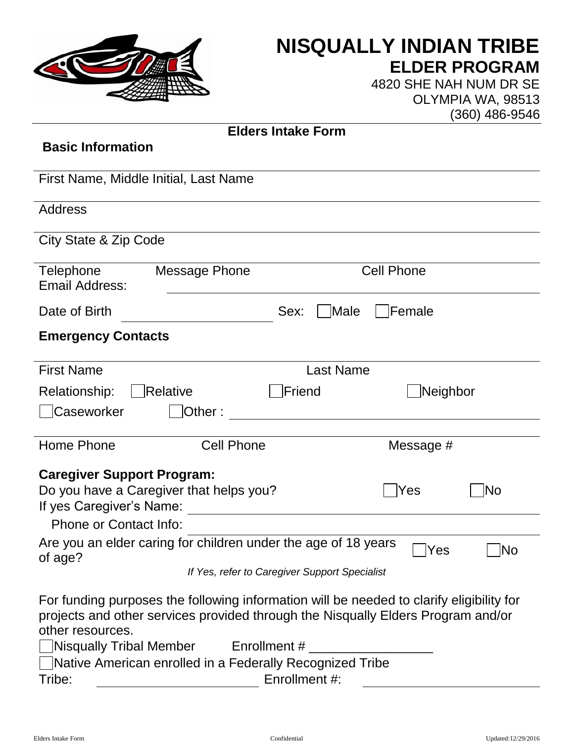

## **NISQUALLY INDIAN TRIBE ELDER PROGRAM**

4820 SHE NAH NUM DR SE OLYMPIA WA, 98513 (360) 486-9546

| <b>Elders Intake Form</b>                                                 |                                                                                                                                                                              |  |
|---------------------------------------------------------------------------|------------------------------------------------------------------------------------------------------------------------------------------------------------------------------|--|
| <b>Basic Information</b>                                                  |                                                                                                                                                                              |  |
|                                                                           |                                                                                                                                                                              |  |
| First Name, Middle Initial, Last Name                                     |                                                                                                                                                                              |  |
| <b>Address</b>                                                            |                                                                                                                                                                              |  |
|                                                                           |                                                                                                                                                                              |  |
| City State & Zip Code                                                     |                                                                                                                                                                              |  |
| Telephone<br><b>Message Phone</b><br>Email Address:                       | <b>Cell Phone</b>                                                                                                                                                            |  |
| Date of Birth                                                             | Male<br>Female<br>Sex:                                                                                                                                                       |  |
| <b>Emergency Contacts</b>                                                 |                                                                                                                                                                              |  |
|                                                                           |                                                                                                                                                                              |  |
| <b>First Name</b>                                                         | <b>Last Name</b>                                                                                                                                                             |  |
| Relationship:<br>Relative                                                 | Friend<br>Neighbor                                                                                                                                                           |  |
| Caseworker<br> Other:                                                     | <u> 1980 - Jan Samuel Barbara, martin di</u>                                                                                                                                 |  |
|                                                                           |                                                                                                                                                                              |  |
| Home Phone<br><b>Cell Phone</b>                                           | Message #                                                                                                                                                                    |  |
| <b>Caregiver Support Program:</b>                                         |                                                                                                                                                                              |  |
| Do you have a Caregiver that helps you?<br> Yes                           |                                                                                                                                                                              |  |
| If yes Caregiver's Name:                                                  |                                                                                                                                                                              |  |
| Phone or Contact Info:                                                    |                                                                                                                                                                              |  |
| Are you an elder caring for children under the age of 18 years<br>of age? | $\Box$ Yes<br>$\n  \square No$                                                                                                                                               |  |
|                                                                           | If Yes, refer to Caregiver Support Specialist                                                                                                                                |  |
| other resources.                                                          | For funding purposes the following information will be needed to clarify eligibility for<br>projects and other services provided through the Nisqually Elders Program and/or |  |
|                                                                           |                                                                                                                                                                              |  |
| Native American enrolled in a Federally Recognized Tribe                  |                                                                                                                                                                              |  |
| Enrollment #:<br>Tribe:                                                   |                                                                                                                                                                              |  |